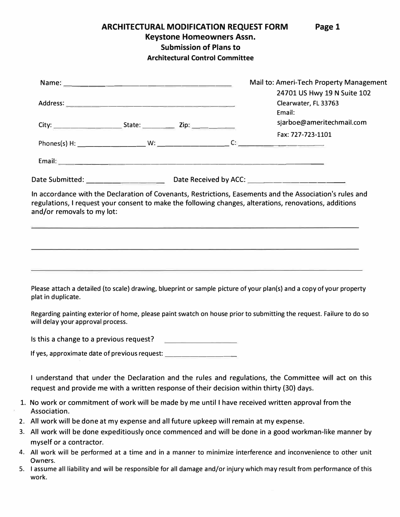**ARCHITECTURAL MODIFICATION REQUEST FORM Page 1** 

**Keystone Homeowners Assn.** 

**Submission of Plans to** 

**Architectural Control Committee** 

|                                                                                                                                      | Mail to: Ameri-Tech Property Management                                                                                                                                                                   |
|--------------------------------------------------------------------------------------------------------------------------------------|-----------------------------------------------------------------------------------------------------------------------------------------------------------------------------------------------------------|
|                                                                                                                                      | 24701 US Hwy 19 N Suite 102<br>Clearwater, FL 33763<br>Email:                                                                                                                                             |
|                                                                                                                                      | sjarboe@ameritechmail.com                                                                                                                                                                                 |
|                                                                                                                                      | Fax: 727-723-1101                                                                                                                                                                                         |
|                                                                                                                                      |                                                                                                                                                                                                           |
| Date Submitted: ________________________________Date Received by ACC: ______________________________                                 |                                                                                                                                                                                                           |
| regulations, I request your consent to make the following changes, alterations, renovations, additions<br>and/or removals to my lot: | In accordance with the Declaration of Covenants, Restrictions, Easements and the Association's rules and                                                                                                  |
|                                                                                                                                      | ,我们也不会有什么。""我们的人,我们也不会有什么?""我们的人,我们也不会有什么?""我们的人,我们也不会有什么?""我们的人,我们也不会有什么?""我们的人<br><u> 1989 - Johann Harry Harry Harry Harry Harry Harry Harry Harry Harry Harry Harry Harry Harry Harry Harry Harry</u> |
| plat in duplicate.                                                                                                                   | Please attach a detailed (to scale) drawing, blueprint or sample picture of your plan(s) and a copy of your property                                                                                      |
| will delay your approval process.                                                                                                    | Regarding painting exterior of home, please paint swatch on house prior to submitting the request. Failure to do so                                                                                       |
| Is this a change to a previous request?                                                                                              |                                                                                                                                                                                                           |
| If yes, approximate date of previous request: __________________________________                                                     |                                                                                                                                                                                                           |
| request and provide me with a written response of their decision within thirty (30) days.                                            | I understand that under the Declaration and the rules and regulations, the Committee will act on this                                                                                                     |
| 1. No work or commitment of work will be made by me until I have received written approval from the<br>Association.                  |                                                                                                                                                                                                           |
| 2. All work will be done at my expense and all future upkeep will remain at my expense.                                              |                                                                                                                                                                                                           |
|                                                                                                                                      | 3. All work will be done expeditiously once commenced and will be done in a good workman-like manner by                                                                                                   |
| myself or a contractor.                                                                                                              |                                                                                                                                                                                                           |
| Owners.                                                                                                                              | 4. All work will be performed at a time and in a manner to minimize interference and inconvenience to other unit                                                                                          |

5. I assume all liability and will be responsible for all damage and/or injury which may result from performance of this work.